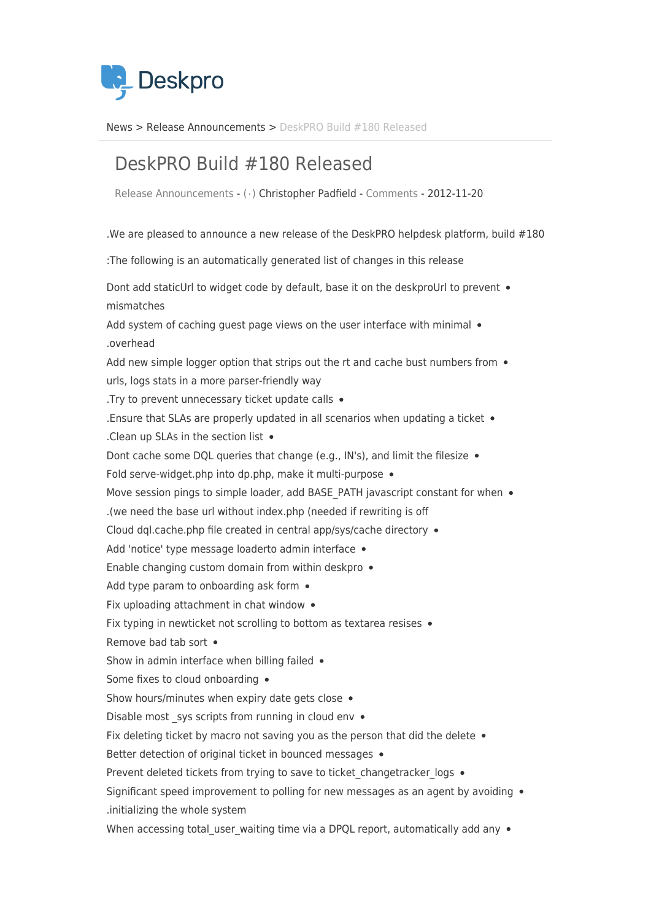

News> Release Announcements > DeskPRO Build #180 Released

## DeskPRO Build #180 Released

Release Announcements - ( · ) Christopher Padfield - [Comments](#page--1-0) - 2012-11-20

. We are pleased to announce a new release of the DeskPRO helpdesk platform, build  $#180$ 

: The following is an automatically generated list of changes in this release

Dont add staticUrl to widget code by default, base it on the deskproUrl to prevent . mismatches

Add system of caching guest page views on the user interface with minimal  $\bullet$ overhead.

Add new simple logger option that strips out the rt and cache bust numbers from  $\bullet$ urls, logs stats in a more parser-friendly way

. Try to prevent unnecessary ticket update calls  $\bullet$ 

. Ensure that SLAs are properly updated in all scenarios when updating a ticket  $\bullet$ 

. Clean up SLAs in the section list  $\bullet$ 

Filtes of limit and imit and the lessize that change (e.g., IN's), and limit the filesize  $\bullet$ 

Fold serve-widget.php into dp.php. make it multi-purpose  $\bullet$ 

Move session pings to simple loader, add BASE PATH javascript constant for when .

(we need the base url without index php (needed if rewriting is off

Cloud dql.cache.php file created in central app/sys/cache directory  $\bullet$ 

Add 'notice' type message loaderto admin interface .

Enable changing custom domain from within deskpro  $\bullet$ 

Add type param to onboarding ask form  $\bullet$ 

Fix uploading attachment in chat window  $\bullet$ 

Fix typing in newticket not scrolling to bottom as textarea resises  $\bullet$ 

Remove bad tab sort  $\bullet$ 

Show in admin interface when billing failed  $\bullet$ 

Some fixes to cloud onboarding .

Show hours/minutes when expiry date gets close  $\bullet$ 

Disable most sys scripts from running in cloud env  $\bullet$ 

Fix deleting ticket by macro not saving you as the person that did the delete  $\bullet$ 

Better detection of original ticket in bounced messages .

Prevent deleted tickets from trying to save to ticket changetracker logs .

Significant speed improvement to polling for new messages as an agent by avoiding  $\bullet$ initializing the whole system.

When accessing total user waiting time via a DPQL report, automatically add any  $\bullet$